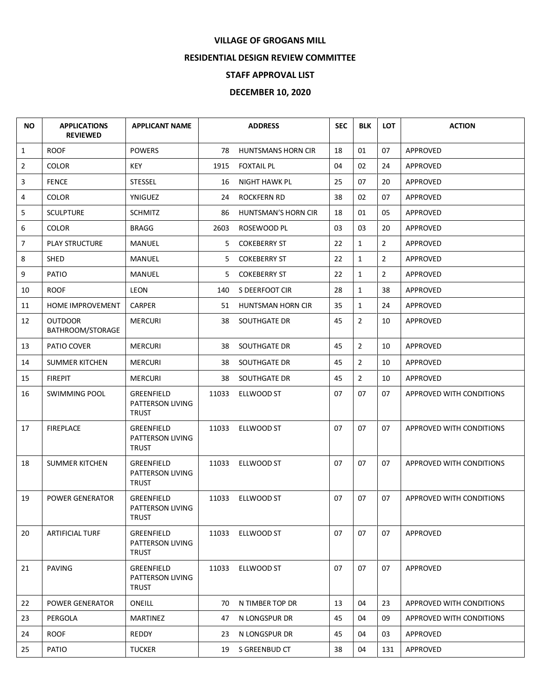## **VILLAGE OF GROGANS MILL**

## **RESIDENTIAL DESIGN REVIEW COMMITTEE**

## **STAFF APPROVAL LIST**

## **DECEMBER 10, 2020**

| <b>NO</b>      | <b>APPLICATIONS</b><br><b>REVIEWED</b> | <b>APPLICANT NAME</b>                                 |       | <b>ADDRESS</b>            | <b>SEC</b> | <b>BLK</b>     | <b>LOT</b>     | <b>ACTION</b>                   |
|----------------|----------------------------------------|-------------------------------------------------------|-------|---------------------------|------------|----------------|----------------|---------------------------------|
| $\mathbf{1}$   | <b>ROOF</b>                            | <b>POWERS</b>                                         | 78    | <b>HUNTSMANS HORN CIR</b> | 18         | 01             | 07             | <b>APPROVED</b>                 |
| $\overline{2}$ | <b>COLOR</b>                           | <b>KEY</b>                                            | 1915  | <b>FOXTAIL PL</b>         | 04         | 02             | 24             | APPROVED                        |
| 3              | <b>FENCE</b>                           | <b>STESSEL</b>                                        | 16    | <b>NIGHT HAWK PL</b>      | 25         | 07             | 20             | <b>APPROVED</b>                 |
| 4              | <b>COLOR</b>                           | YNIGUEZ                                               | 24    | <b>ROCKFERN RD</b>        | 38         | 02             | 07             | APPROVED                        |
| 5              | <b>SCULPTURE</b>                       | <b>SCHMITZ</b>                                        | 86    | HUNTSMAN'S HORN CIR       | 18         | 01             | 05             | APPROVED                        |
| 6              | <b>COLOR</b>                           | <b>BRAGG</b>                                          | 2603  | ROSEWOOD PL               | 03         | 03             | 20             | APPROVED                        |
| $\overline{7}$ | <b>PLAY STRUCTURE</b>                  | <b>MANUEL</b>                                         | 5.    | <b>COKEBERRY ST</b>       | 22         | $\mathbf{1}$   | $\overline{2}$ | APPROVED                        |
| 8              | SHED                                   | MANUEL                                                | 5     | <b>COKEBERRY ST</b>       | 22         | $\mathbf{1}$   | $\overline{2}$ | APPROVED                        |
| 9              | PATIO                                  | MANUEL                                                | 5.    | <b>COKEBERRY ST</b>       | 22         | $\mathbf{1}$   | $\overline{2}$ | APPROVED                        |
| 10             | <b>ROOF</b>                            | <b>LEON</b>                                           | 140   | S DEERFOOT CIR            | 28         | $\mathbf{1}$   | 38             | <b>APPROVED</b>                 |
| 11             | <b>HOME IMPROVEMENT</b>                | <b>CARPER</b>                                         | 51    | HUNTSMAN HORN CIR         | 35         | $\mathbf{1}$   | 24             | APPROVED                        |
| 12             | <b>OUTDOOR</b><br>BATHROOM/STORAGE     | <b>MERCURI</b>                                        | 38    | SOUTHGATE DR              | 45         | $\overline{2}$ | 10             | APPROVED                        |
| 13             | PATIO COVER                            | <b>MERCURI</b>                                        | 38    | SOUTHGATE DR              | 45         | $\overline{2}$ | 10             | APPROVED                        |
| 14             | <b>SUMMER KITCHEN</b>                  | <b>MERCURI</b>                                        | 38    | SOUTHGATE DR              | 45         | $\overline{2}$ | 10             | APPROVED                        |
| 15             | <b>FIREPIT</b>                         | <b>MERCURI</b>                                        | 38    | SOUTHGATE DR              | 45         | $\overline{2}$ | 10             | APPROVED                        |
| 16             | <b>SWIMMING POOL</b>                   | <b>GREENFIELD</b><br>PATTERSON LIVING<br>TRUST        | 11033 | ELLWOOD ST                | 07         | 07             | 07             | APPROVED WITH CONDITIONS        |
| 17             | <b>FIREPLACE</b>                       | GREENFIELD<br>PATTERSON LIVING<br>TRUST               | 11033 | ELLWOOD ST                | 07         | 07             | 07             | APPROVED WITH CONDITIONS        |
| 18             | <b>SUMMER KITCHEN</b>                  | <b>GREENFIELD</b><br>PATTERSON LIVING<br><b>TRUST</b> | 11033 | ELLWOOD ST                | 07         | 07             | 07             | APPROVED WITH CONDITIONS        |
| 19             | <b>POWER GENERATOR</b>                 | <b>GREENFIELD</b><br>PATTERSON LIVING<br>TRUST        | 11033 | <b>ELLWOOD ST</b>         | 07         | 07             | 07             | APPROVED WITH CONDITIONS        |
| 20             | <b>ARTIFICIAL TURF</b>                 | <b>GREENFIELD</b><br>PATTERSON LIVING<br>TRUST        | 11033 | ELLWOOD ST                | 07         | 07             | 07             | <b>APPROVED</b>                 |
| 21             | <b>PAVING</b>                          | <b>GREENFIELD</b><br>PATTERSON LIVING<br><b>TRUST</b> | 11033 | ELLWOOD ST                | 07         | 07             | 07             | APPROVED                        |
| 22             | <b>POWER GENERATOR</b>                 | ONEILL                                                | 70    | N TIMBER TOP DR           | 13         | 04             | 23             | <b>APPROVED WITH CONDITIONS</b> |
| 23             | PERGOLA                                | <b>MARTINEZ</b>                                       | 47    | N LONGSPUR DR             | 45         | 04             | 09             | APPROVED WITH CONDITIONS        |
| 24             | <b>ROOF</b>                            | <b>REDDY</b>                                          | 23    | N LONGSPUR DR             | 45         | 04             | 03             | APPROVED                        |
| 25             | PATIO                                  | <b>TUCKER</b>                                         | 19    | S GREENBUD CT             | 38         | 04             | 131            | APPROVED                        |